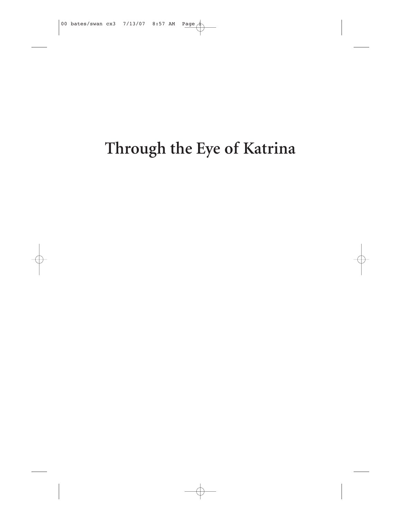# **Through the Eye of Katrina**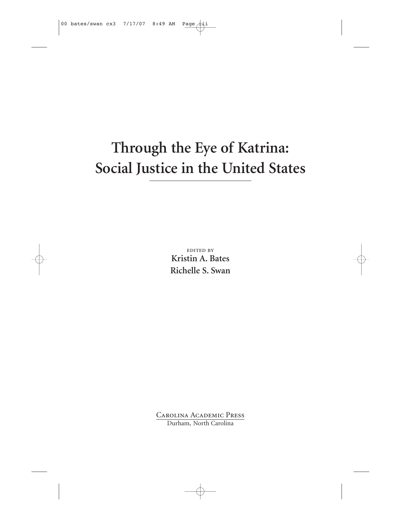## **Through the Eye of Katrina: Social Justice in the United States**

edited by **Kristin A. Bates Richelle S. Swan**

Carolina Academic Press Durham, North Carolina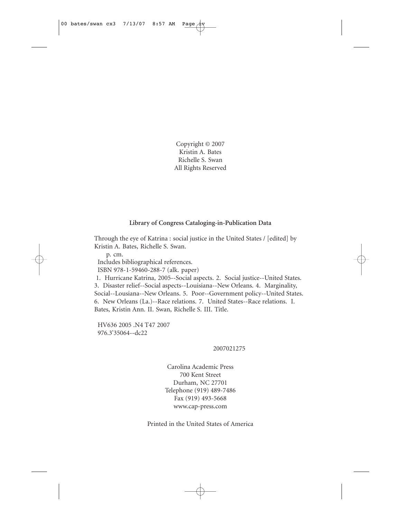Copyright © 2007 Kristin A. Bates Richelle S. Swan All Rights Reserved

#### **Library of Congress Cataloging-in-Publication Data**

Through the eye of Katrina : social justice in the United States / [edited] by Kristin A. Bates, Richelle S. Swan.

p. cm. Includes bibliographical references. ISBN 978-1-59460-288-7 (alk. paper)

1. Hurricane Katrina, 2005--Social aspects. 2. Social justice--United States. 3. Disaster relief--Social aspects--Louisiana--New Orleans. 4. Marginality, Social--Lousiana--New Orleans. 5. Poor--Government policy--United States. 6. New Orleans (La.)--Race relations. 7. United States--Race relations. I.

Bates, Kristin Ann. II. Swan, Richelle S. III. Title.

HV636 2005 .N4 T47 2007 976.3'35064--dc22

2007021275

Carolina Academic Press 700 Kent Street Durham, NC 27701 Telephone (919) 489-7486 Fax (919) 493-5668 www.cap-press.com

Printed in the United States of America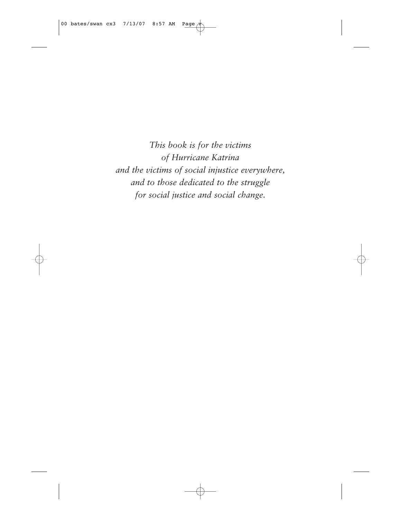*This book is for the victims of Hurricane Katrina and the victims of social injustice everywhere, and to those dedicated to the struggle for social justice and social change.*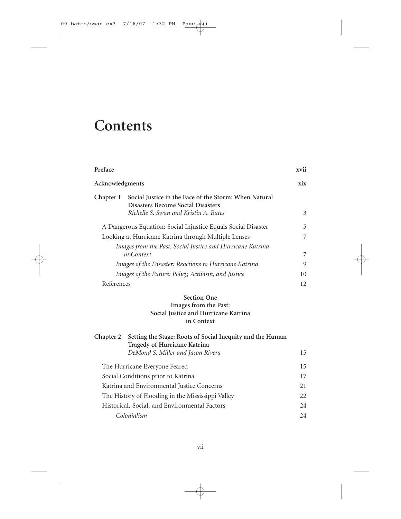### **Contents**

| Preface          |                                                                                                   | xvii |
|------------------|---------------------------------------------------------------------------------------------------|------|
| Acknowledgments  |                                                                                                   | xix  |
| Chapter 1        | Social Justice in the Face of the Storm: When Natural<br><b>Disasters Become Social Disasters</b> |      |
|                  | Richelle S. Swan and Kristin A. Bates                                                             | 3    |
|                  | A Dangerous Equation: Social Injustice Equals Social Disaster                                     | 5    |
|                  | Looking at Hurricane Katrina through Multiple Lenses                                              | 7    |
|                  | Images from the Past: Social Justice and Hurricane Katrina                                        |      |
|                  | in Context                                                                                        | 7    |
|                  | Images of the Disaster: Reactions to Hurricane Katrina                                            | 9    |
|                  | Images of the Future: Policy, Activism, and Justice                                               | 10   |
| References       |                                                                                                   | 12   |
|                  | <b>Section One</b>                                                                                |      |
|                  | Images from the Past:                                                                             |      |
|                  | Social Justice and Hurricane Katrina                                                              |      |
|                  | in Context                                                                                        |      |
| <b>Chapter 2</b> | Setting the Stage: Roots of Social Inequity and the Human<br>Tragedy of Hurricane Katrina         |      |
|                  | DeMond S. Miller and Jason Rivera                                                                 | 15   |
|                  | The Hurricane Everyone Feared                                                                     | 15   |
|                  | Social Conditions prior to Katrina                                                                | 17   |
|                  | Katrina and Environmental Justice Concerns                                                        | 21   |
|                  | The History of Flooding in the Mississippi Valley                                                 | 22   |
|                  | Historical, Social, and Environmental Factors                                                     | 24   |
|                  | Colonialism                                                                                       | 24   |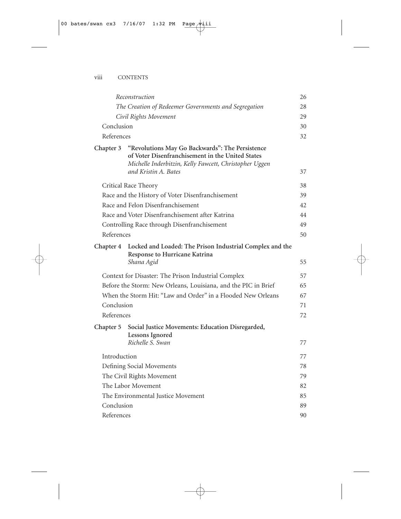|              | Reconstruction                                                                                                                                                                        | 26 |
|--------------|---------------------------------------------------------------------------------------------------------------------------------------------------------------------------------------|----|
|              | The Creation of Redeemer Governments and Segregation                                                                                                                                  | 28 |
|              | Civil Rights Movement                                                                                                                                                                 | 29 |
| Conclusion   |                                                                                                                                                                                       | 30 |
| References   |                                                                                                                                                                                       | 32 |
| Chapter 3    | "Revolutions May Go Backwards": The Persistence<br>of Voter Disenfranchisement in the United States<br>Michelle Inderbitzin, Kelly Fawcett, Christopher Uggen<br>and Kristin A. Bates | 37 |
|              | Critical Race Theory                                                                                                                                                                  | 38 |
|              | Race and the History of Voter Disenfranchisement                                                                                                                                      | 39 |
|              | Race and Felon Disenfranchisement                                                                                                                                                     | 42 |
|              | Race and Voter Disenfranchisement after Katrina                                                                                                                                       | 44 |
|              | Controlling Race through Disenfranchisement                                                                                                                                           | 49 |
| References   |                                                                                                                                                                                       | 50 |
| Chapter 4    | Locked and Loaded: The Prison Industrial Complex and the<br>Response to Hurricane Katrina<br>Shana Agid                                                                               | 55 |
|              | Context for Disaster: The Prison Industrial Complex                                                                                                                                   | 57 |
|              | Before the Storm: New Orleans, Louisiana, and the PIC in Brief                                                                                                                        | 65 |
|              | When the Storm Hit: "Law and Order" in a Flooded New Orleans                                                                                                                          | 67 |
| Conclusion   |                                                                                                                                                                                       | 71 |
| References   |                                                                                                                                                                                       | 72 |
| Chapter 5    | Social Justice Movements: Education Disregarded,<br><b>Lessons Ignored</b><br>Richelle S. Swan                                                                                        | 77 |
| Introduction |                                                                                                                                                                                       | 77 |
|              | Defining Social Movements                                                                                                                                                             | 78 |
|              | The Civil Rights Movement                                                                                                                                                             | 79 |
|              | The Labor Movement                                                                                                                                                                    | 82 |
|              | The Environmental Justice Movement                                                                                                                                                    | 85 |
| Conclusion   |                                                                                                                                                                                       | 89 |
| References   |                                                                                                                                                                                       | 90 |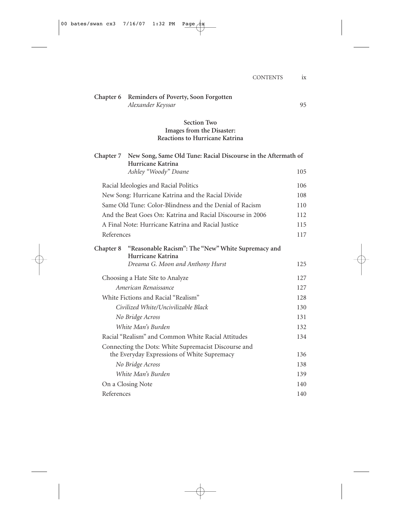| Chapter 6  | Reminders of Poverty, Soon Forgotten<br>Alexander Keyssar                                           | 95  |
|------------|-----------------------------------------------------------------------------------------------------|-----|
|            | <b>Section Two</b><br>Images from the Disaster:<br><b>Reactions to Hurricane Katrina</b>            |     |
| Chapter 7  | New Song, Same Old Tune: Racial Discourse in the Aftermath of<br>Hurricane Katrina                  |     |
|            | Ashley "Woody" Doane                                                                                | 105 |
|            | Racial Ideologies and Racial Politics                                                               | 106 |
|            | New Song: Hurricane Katrina and the Racial Divide                                                   | 108 |
|            | Same Old Tune: Color-Blindness and the Denial of Racism                                             | 110 |
|            | And the Beat Goes On: Katrina and Racial Discourse in 2006                                          | 112 |
|            | A Final Note: Hurricane Katrina and Racial Justice                                                  | 115 |
| References |                                                                                                     | 117 |
| Chapter 8  | "Reasonable Racism": The "New" White Supremacy and<br>Hurricane Katrina                             |     |
|            | Dreama G. Moon and Anthony Hurst                                                                    | 125 |
|            | Choosing a Hate Site to Analyze                                                                     | 127 |
|            | American Renaissance                                                                                | 127 |
|            | White Fictions and Racial "Realism"                                                                 | 128 |
|            | Civilized White/Uncivilizable Black                                                                 | 130 |
|            | No Bridge Across                                                                                    | 131 |
|            | White Man's Burden                                                                                  | 132 |
|            | Racial "Realism" and Common White Racial Attitudes                                                  | 134 |
|            | Connecting the Dots: White Supremacist Discourse and<br>the Everyday Expressions of White Supremacy | 136 |
|            | No Bridge Across                                                                                    | 138 |
|            | White Man's Burden                                                                                  | 139 |
|            | On a Closing Note                                                                                   | 140 |
| References |                                                                                                     | 140 |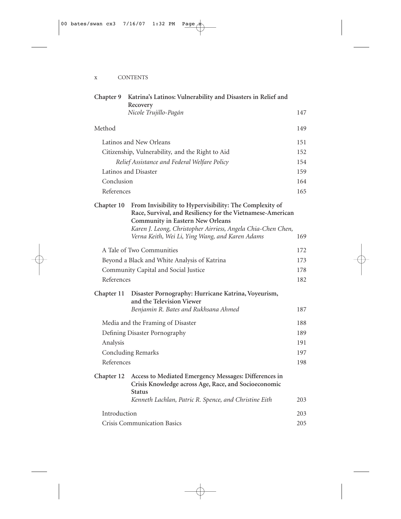| Chapter 9                   | Katrina's Latinos: Vulnerability and Disasters in Relief and<br>Recovery                                                                                                                                                                                                            | 147 |
|-----------------------------|-------------------------------------------------------------------------------------------------------------------------------------------------------------------------------------------------------------------------------------------------------------------------------------|-----|
|                             | Nicole Trujillo-Pagán                                                                                                                                                                                                                                                               |     |
| Method                      |                                                                                                                                                                                                                                                                                     | 149 |
|                             | Latinos and New Orleans                                                                                                                                                                                                                                                             | 151 |
|                             | Citizenship, Vulnerability, and the Right to Aid                                                                                                                                                                                                                                    | 152 |
|                             | Relief Assistance and Federal Welfare Policy                                                                                                                                                                                                                                        | 154 |
|                             | Latinos and Disaster                                                                                                                                                                                                                                                                | 159 |
| Conclusion                  |                                                                                                                                                                                                                                                                                     | 164 |
| References                  |                                                                                                                                                                                                                                                                                     | 165 |
| Chapter 10                  | From Invisibility to Hypervisibility: The Complexity of<br>Race, Survival, and Resiliency for the Vietnamese-American<br><b>Community in Eastern New Orleans</b><br>Karen J. Leong, Christopher Airriess, Angela Chia-Chen Chen,<br>Verna Keith, Wei Li, Ying Wang, and Karen Adams | 169 |
|                             | A Tale of Two Communities                                                                                                                                                                                                                                                           | 172 |
|                             | Beyond a Black and White Analysis of Katrina                                                                                                                                                                                                                                        | 173 |
|                             | Community Capital and Social Justice                                                                                                                                                                                                                                                | 178 |
| References                  |                                                                                                                                                                                                                                                                                     | 182 |
| Chapter 11                  | Disaster Pornography: Hurricane Katrina, Voyeurism,<br>and the Television Viewer                                                                                                                                                                                                    |     |
|                             | Benjamin R. Bates and Rukhsana Ahmed                                                                                                                                                                                                                                                | 187 |
|                             | Media and the Framing of Disaster                                                                                                                                                                                                                                                   | 188 |
|                             | Defining Disaster Pornography                                                                                                                                                                                                                                                       | 189 |
| Analysis                    |                                                                                                                                                                                                                                                                                     | 191 |
|                             | <b>Concluding Remarks</b>                                                                                                                                                                                                                                                           | 197 |
| References                  |                                                                                                                                                                                                                                                                                     | 198 |
| Chapter 12                  | Access to Mediated Emergency Messages: Differences in<br>Crisis Knowledge across Age, Race, and Socioeconomic<br><b>Status</b><br>Kenneth Lachlan, Patric R. Spence, and Christine Eith                                                                                             | 203 |
|                             |                                                                                                                                                                                                                                                                                     |     |
| Introduction                |                                                                                                                                                                                                                                                                                     | 203 |
| Crisis Communication Basics |                                                                                                                                                                                                                                                                                     | 205 |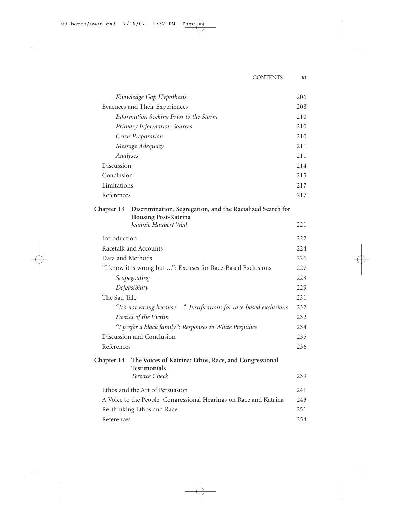| Knowledge Gap Hypothesis                                                                         | 206 |
|--------------------------------------------------------------------------------------------------|-----|
| Evacuees and Their Experiences                                                                   | 208 |
| Information Seeking Prior to the Storm                                                           | 210 |
| <b>Primary Information Sources</b>                                                               | 210 |
| Crisis Preparation                                                                               | 210 |
| Message Adequacy                                                                                 | 211 |
| Analyses                                                                                         | 211 |
| Discussion                                                                                       | 214 |
| Conclusion                                                                                       | 215 |
| Limitations                                                                                      | 217 |
| References                                                                                       | 217 |
| Chapter 13<br>Discrimination, Segregation, and the Racialized Search for<br>Housing Post-Katrina |     |
| Jeannie Haubert Weil                                                                             | 221 |
| Introduction                                                                                     | 222 |
| Racetalk and Accounts                                                                            | 224 |
| Data and Methods                                                                                 | 226 |
| "I know it is wrong but ": Excuses for Race-Based Exclusions                                     | 227 |
| Scapegoating                                                                                     | 228 |
| Defeasibility                                                                                    | 229 |
| The Sad Tale                                                                                     | 231 |
| "It's not wrong because ": Justifications for race-based exclusions                              | 232 |
| Denial of the Victim                                                                             | 232 |
| "I prefer a black family": Responses to White Prejudice                                          | 234 |
| Discussion and Conclusion                                                                        | 235 |
| References                                                                                       | 236 |
| The Voices of Katrina: Ethos, Race, and Congressional<br>Chapter 14<br><b>Testimonials</b>       |     |
| Terence Check                                                                                    | 239 |
| Ethos and the Art of Persuasion                                                                  | 241 |
| A Voice to the People: Congressional Hearings on Race and Katrina                                | 243 |
| Re-thinking Ethos and Race                                                                       | 251 |
| References                                                                                       | 254 |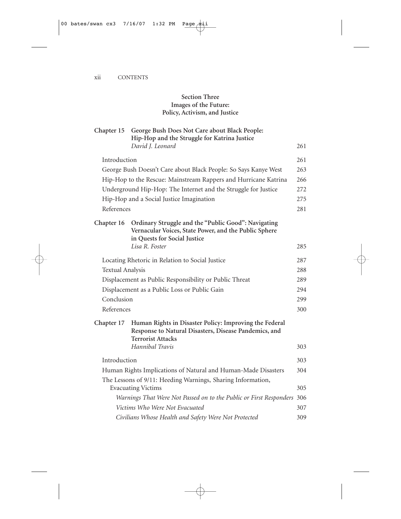#### **Section Three Images of the Future: Policy, Activism, and Justice**

| Chapter 15              | George Bush Does Not Care about Black People:<br>Hip-Hop and the Struggle for Katrina Justice                                                |     |
|-------------------------|----------------------------------------------------------------------------------------------------------------------------------------------|-----|
|                         | David J. Leonard                                                                                                                             | 261 |
| Introduction            |                                                                                                                                              | 261 |
|                         | George Bush Doesn't Care about Black People: So Says Kanye West                                                                              | 263 |
|                         | Hip-Hop to the Rescue: Mainstream Rappers and Hurricane Katrina                                                                              | 266 |
|                         | Underground Hip-Hop: The Internet and the Struggle for Justice                                                                               | 272 |
|                         | Hip-Hop and a Social Justice Imagination                                                                                                     | 275 |
| References              |                                                                                                                                              | 281 |
| Chapter 16              | Ordinary Struggle and the "Public Good": Navigating<br>Vernacular Voices, State Power, and the Public Sphere<br>in Quests for Social Justice |     |
|                         | Lisa R. Foster                                                                                                                               | 285 |
|                         | Locating Rhetoric in Relation to Social Justice                                                                                              | 287 |
| <b>Textual Analysis</b> |                                                                                                                                              | 288 |
|                         | Displacement as Public Responsibility or Public Threat                                                                                       | 289 |
|                         | Displacement as a Public Loss or Public Gain                                                                                                 |     |
| Conclusion              |                                                                                                                                              | 299 |
| References              |                                                                                                                                              | 300 |
| Chapter 17              | Human Rights in Disaster Policy: Improving the Federal<br>Response to Natural Disasters, Disease Pandemics, and<br><b>Terrorist Attacks</b>  |     |
|                         | Hannibal Travis                                                                                                                              | 303 |
| Introduction            |                                                                                                                                              | 303 |
|                         | Human Rights Implications of Natural and Human-Made Disasters                                                                                | 304 |
|                         | The Lessons of 9/11: Heeding Warnings, Sharing Information,<br><b>Evacuating Victims</b>                                                     | 305 |
|                         | Warnings That Were Not Passed on to the Public or First Responders                                                                           | 306 |
|                         | Victims Who Were Not Evacuated                                                                                                               | 307 |
|                         | Civilians Whose Health and Safety Were Not Protected                                                                                         | 309 |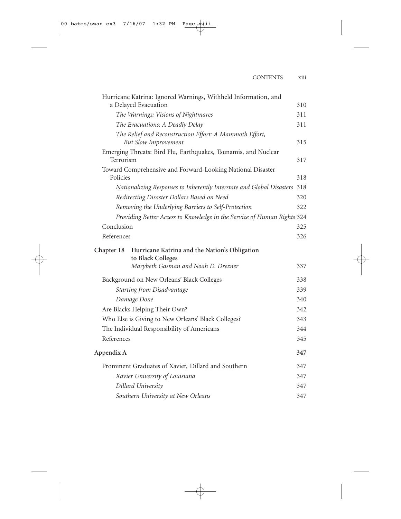| Hurricane Katrina: Ignored Warnings, Withheld Information, and                         |     |
|----------------------------------------------------------------------------------------|-----|
| a Delayed Evacuation                                                                   | 310 |
| The Warnings: Visions of Nightmares                                                    | 311 |
| The Evacuations: A Deadly Delay                                                        | 311 |
| The Relief and Reconstruction Effort: A Mammoth Effort,<br><b>But Slow Improvement</b> | 315 |
| Emerging Threats: Bird Flu, Earthquakes, Tsunamis, and Nuclear<br>Terrorism            | 317 |
| Toward Comprehensive and Forward-Looking National Disaster<br>Policies                 | 318 |
| Nationalizing Responses to Inherently Interstate and Global Disasters                  | 318 |
| Redirecting Disaster Dollars Based on Need                                             | 320 |
| Removing the Underlying Barriers to Self-Protection                                    | 322 |
| Providing Better Access to Knowledge in the Service of Human Rights 324                |     |
| Conclusion                                                                             | 325 |
| References                                                                             | 326 |
| Hurricane Katrina and the Nation's Obligation<br>Chapter 18<br>to Black Colleges       |     |
| Marybeth Gasman and Noah D. Drezner                                                    | 337 |
| Background on New Orleans' Black Colleges                                              | 338 |
| <b>Starting from Disadvantage</b>                                                      | 339 |
| Damage Done                                                                            | 340 |
| Are Blacks Helping Their Own?                                                          | 342 |
| Who Else is Giving to New Orleans' Black Colleges?                                     | 343 |
| The Individual Responsibility of Americans                                             | 344 |
| References                                                                             | 345 |
| Appendix A                                                                             | 347 |
| Prominent Graduates of Xavier, Dillard and Southern                                    | 347 |
| Xavier University of Louisiana                                                         | 347 |
| Dillard University                                                                     | 347 |
| Southern University at New Orleans                                                     | 347 |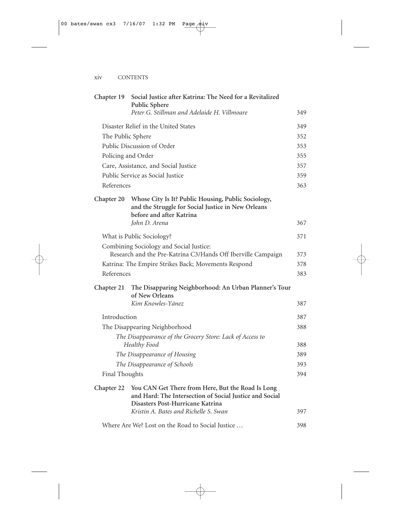| Chapter 19            | Social Justice after Katrina: The Need for a Revitalized<br>Public Sphere                                                                                                                 |     |
|-----------------------|-------------------------------------------------------------------------------------------------------------------------------------------------------------------------------------------|-----|
|                       | Peter G. Stillman and Adelaide H. Villmoare                                                                                                                                               | 349 |
|                       | Disaster Relief in the United States                                                                                                                                                      | 349 |
| The Public Sphere     |                                                                                                                                                                                           | 352 |
|                       | Public Discussion of Order                                                                                                                                                                | 353 |
|                       | Policing and Order                                                                                                                                                                        | 355 |
|                       | Care, Assistance, and Social Justice                                                                                                                                                      | 357 |
|                       | Public Service as Social Justice                                                                                                                                                          | 359 |
| References            |                                                                                                                                                                                           | 363 |
| Chapter 20            | Whose City Is It? Public Housing, Public Sociology,<br>and the Struggle for Social Justice in New Orleans<br>before and after Katrina<br>John D. Arena                                    | 367 |
|                       | What is Public Sociology?                                                                                                                                                                 |     |
|                       | Combining Sociology and Social Justice:<br>Research and the Pre-Katrina C3/Hands Off Iberville Campaign                                                                                   | 373 |
|                       | Katrina: The Empire Strikes Back; Movements Respond                                                                                                                                       | 378 |
| References            |                                                                                                                                                                                           | 383 |
| Chapter 21            | The Disapparing Neighborhood: An Urban Planner's Tour<br>of New Orleans                                                                                                                   |     |
|                       | Kim Knowles-Yánez                                                                                                                                                                         | 387 |
| Introduction          |                                                                                                                                                                                           | 387 |
|                       | The Disappearing Neighborhood                                                                                                                                                             | 388 |
|                       | The Disappearance of the Grocery Store: Lack of Access to<br>Healthy Food                                                                                                                 | 388 |
|                       | The Disappearance of Housing                                                                                                                                                              | 389 |
|                       | The Disappearance of Schools                                                                                                                                                              | 393 |
| <b>Final Thoughts</b> |                                                                                                                                                                                           | 394 |
| Chapter 22            | You CAN Get There from Here, But the Road Is Long<br>and Hard: The Intersection of Social Justice and Social<br>Disasters Post-Hurricane Katrina<br>Kristin A. Bates and Richelle S. Swan | 397 |
|                       |                                                                                                                                                                                           |     |
|                       | Where Are We? Lost on the Road to Social Justice                                                                                                                                          | 398 |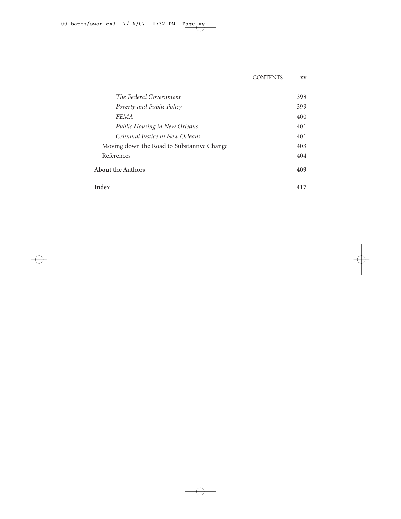| The Federal Government                     | 398 |
|--------------------------------------------|-----|
| Poverty and Public Policy                  | 399 |
| FEMA                                       | 400 |
| Public Housing in New Orleans              | 401 |
| Criminal Justice in New Orleans            | 401 |
| Moving down the Road to Substantive Change | 403 |
| References                                 | 404 |
| <b>About the Authors</b>                   | 409 |
| Index                                      | 417 |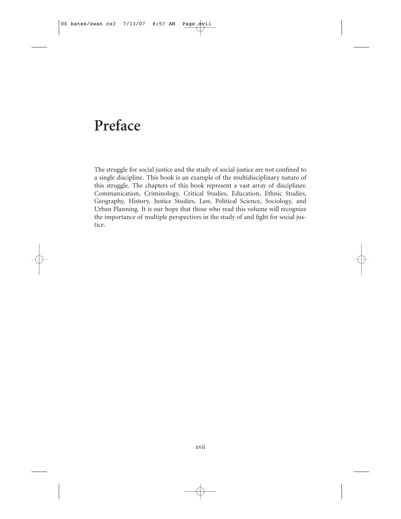#### **Preface**

The struggle for social justice and the study of social justice are not confined to a single discipline. This book is an example of the multidisciplinary nature of this struggle. The chapters of this book represent a vast array of disciplines: Communication, Criminology, Critical Studies, Education, Ethnic Studies, Geography, History, Justice Studies, Law, Political Science, Sociology, and Urban Planning. It is our hope that those who read this volume will recognize the importance of multiple perspectives in the study of and fight for social justice.